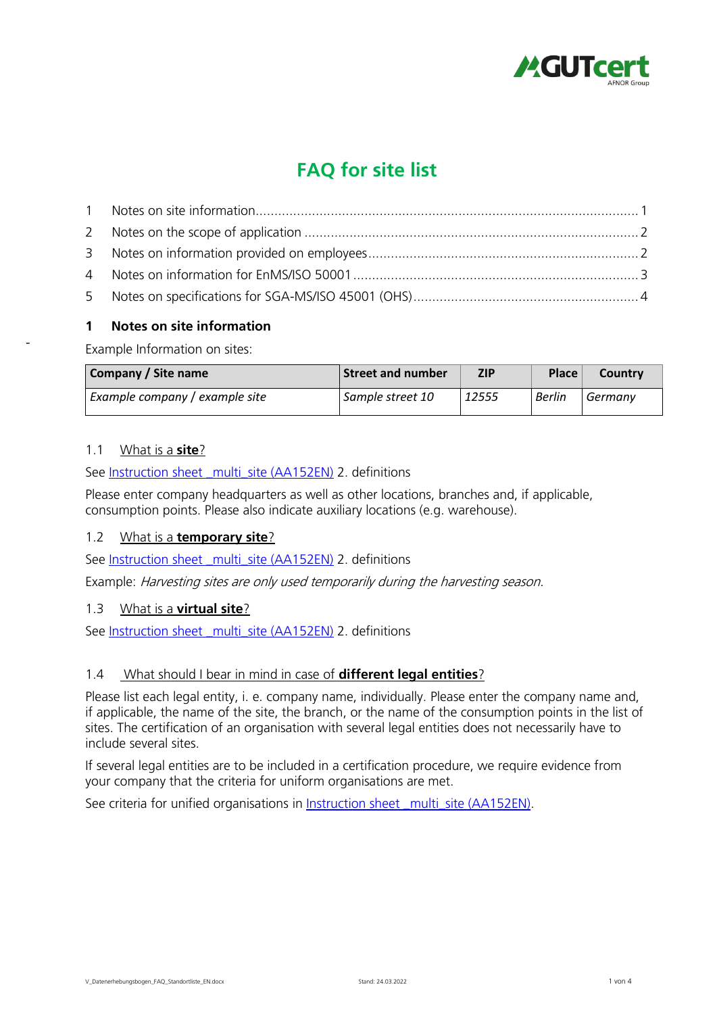

# **FAQ for site list**

# <span id="page-0-0"></span>**1 Notes on site information**

**Example Information on sites:**

| Company / Site name            | <b>Street and number</b> | ZIP   | <b>Place</b> | Country |
|--------------------------------|--------------------------|-------|--------------|---------|
| Example company / example site | Sample street 10         | 12555 | Berlin       | Germany |

# **1.1 What is a site?**

**-**

**See [Instruction sheet \\_multi\\_site \(AA152EN\)](https://www.gut-cert.de/downloads-294) 2. definitions** 

**Please enter company headquarters as well as other locations, branches and, if applicable, consumption points. Please also indicate auxiliary locations (e.g. warehouse).**

# **1.2 What is a temporary site?**

**See [Instruction sheet \\_multi\\_site \(AA152EN\)](https://www.gut-cert.de/downloads-294) 2. definitions** 

**Example: Harvesting sites are only used temporarily during the harvesting season.**

# **1.3 What is a virtual site?**

**See [Instruction sheet \\_multi\\_site \(AA152EN\)](https://www.gut-cert.de/downloads-294) 2. definitions** 

# **1.4 What should I bear in mind in case of different legal entities?**

**Please list each legal entity, i. e. company name, individually. Please enter the company name and, if applicable, the name of the site, the branch, or the name of the consumption points in the list of sites. The certification of an organisation with several legal entities does not necessarily have to include several sites.**

**If several legal entities are to be included in a certification procedure, we require evidence from your company that the criteria for uniform organisations are met.** 

See criteria for unified organisations in [Instruction sheet \\_multi\\_site \(AA152EN\).](https://www.gut-cert.de/downloads-294)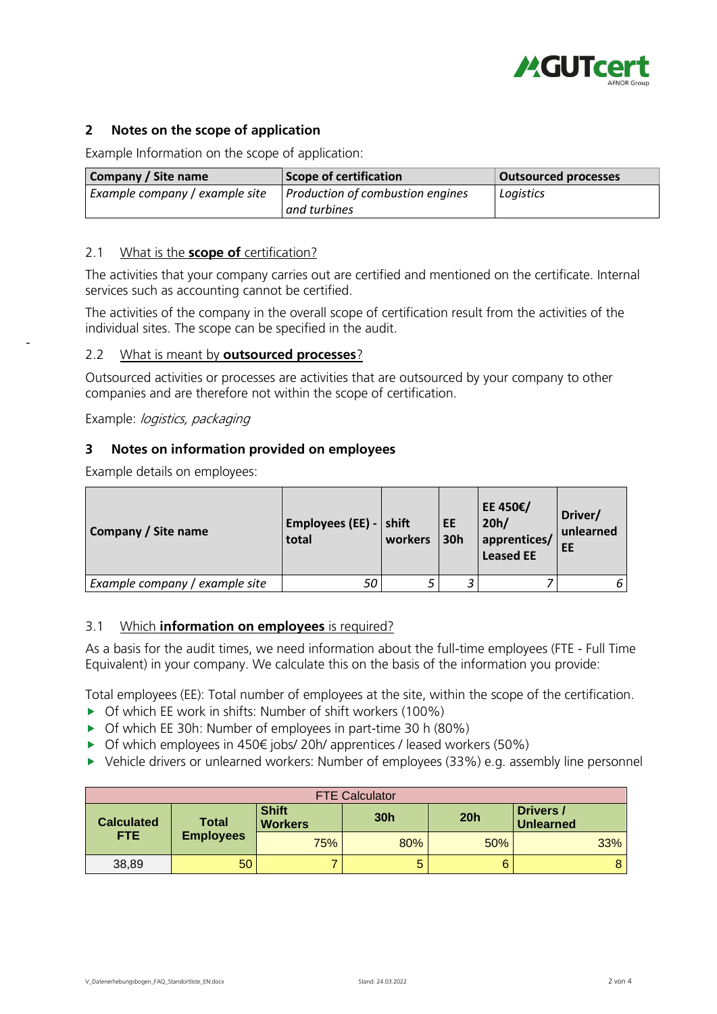

# <span id="page-1-0"></span>**2 Notes on the scope of application**

**Example Information on the scope of application:**

| Company / Site name            | Scope of certification           | <b>Outsourced processes</b> |
|--------------------------------|----------------------------------|-----------------------------|
| Example company / example site | Production of combustion engines | Logistics                   |
|                                | l and turbines                   |                             |

## **2.1 What is the scope of certification?**

**The activities that your company carries out are certified and mentioned on the certificate. Internal services such as accounting cannot be certified.**

**The activities of the company in the overall scope of certification result from the activities of the individual sites. The scope can be specified in the audit.** 

## **2.2 What is meant by outsourced processes?**

**Outsourced activities or processes are activities that are outsourced by your company to other companies and are therefore not within the scope of certification.**

**Example: logistics, packaging**

**-**

## <span id="page-1-1"></span>**3 Notes on information provided on employees**

**Example details on employees:**

| Company / Site name            | Employees (EE) - $\vert$ shift<br>total | workers | EE<br><b>30h</b> | EE 450€/<br>20h/<br>apprentices/<br><b>Leased EE</b> | Driver/<br>unlearned<br>EE |
|--------------------------------|-----------------------------------------|---------|------------------|------------------------------------------------------|----------------------------|
| Example company / example site | 5С                                      |         |                  |                                                      | 6                          |

# **3.1 Which information on employees is required?**

**As a basis for the audit times, we need information about the full-time employees (FTE - Full Time Equivalent) in your company. We calculate this on the basis of the information you provide:** 

**Total employees (EE): Total number of employees at the site, within the scope of the certification.** 

- **Of which EE work in shifts: Number of shift workers (100%)**
- **Of which EE 30h: Number of employees in part-time 30 h (80%)**
- **Of which employees in 450€ jobs/ 20h/ apprentices / leased workers (50%)**
- **Vehicle drivers or unlearned workers: Number of employees (33%) e.g. assembly line personnel**

| <b>FTE Calculator</b> |                  |                                |     |     |                               |  |
|-----------------------|------------------|--------------------------------|-----|-----|-------------------------------|--|
| <b>Calculated</b>     | Total            | <b>Shift</b><br><b>Workers</b> | 30h | 20h | Drivers /<br><b>Unlearned</b> |  |
| FTE.                  | <b>Employees</b> | 75%                            | 80% | 50% | 33%                           |  |
| 38,89                 | 50               | ⇁                              | 5   | 6   |                               |  |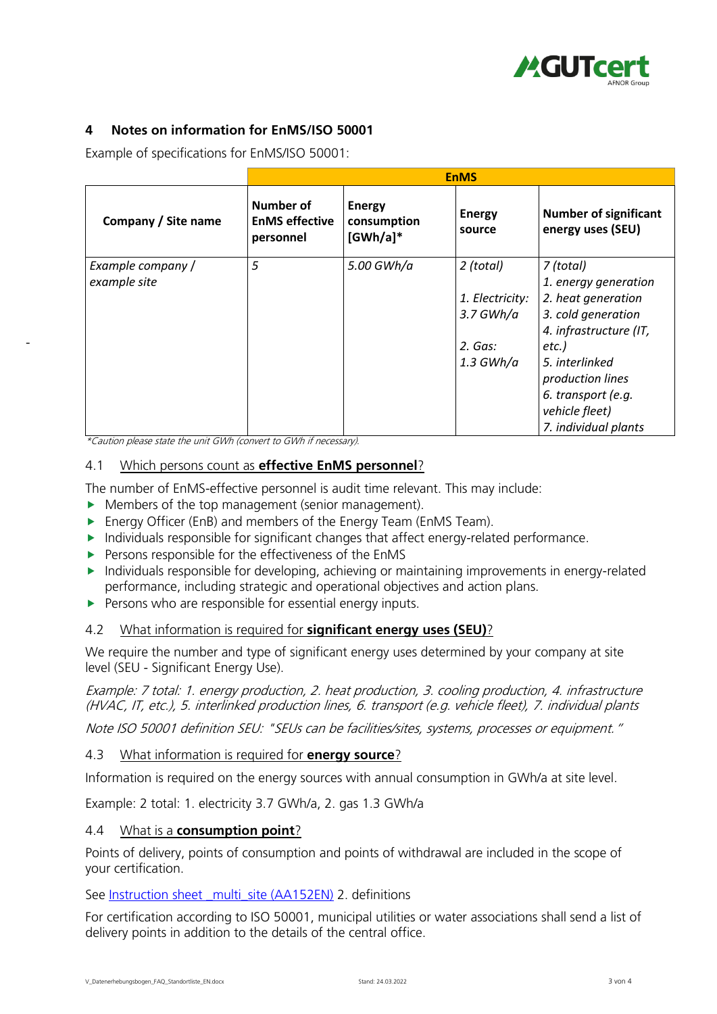

# <span id="page-2-0"></span>**4 Notes on information for EnMS/ISO 50001**

**Example of specifications for EnMS/ISO 50001:**

|                     | <b>EnMS</b>                                            |                                             |                         |                                                   |  |
|---------------------|--------------------------------------------------------|---------------------------------------------|-------------------------|---------------------------------------------------|--|
| Company / Site name | <b>Number of</b><br><b>EnMS effective</b><br>personnel | <b>Energy</b><br>consumption<br>$[GWh/a]$ * | <b>Energy</b><br>source | <b>Number of significant</b><br>energy uses (SEU) |  |
| Example company /   | 5                                                      | 5.00 GWh/a                                  | 2 (total)               | 7 (total)                                         |  |
| example site        |                                                        |                                             |                         | 1. energy generation                              |  |
|                     |                                                        |                                             | 1. Electricity:         | 2. heat generation                                |  |
|                     |                                                        |                                             | $3.7$ GWh/a             | 3. cold generation                                |  |
|                     |                                                        |                                             |                         | 4. infrastructure (IT,                            |  |
|                     |                                                        |                                             | 2. Gas:                 | etc.)                                             |  |
|                     |                                                        |                                             | $1.3 \text{ GWh}/a$     | 5. interlinked                                    |  |
|                     |                                                        |                                             |                         | production lines                                  |  |
|                     |                                                        |                                             |                         | 6. transport (e.g.                                |  |
|                     |                                                        |                                             |                         | vehicle fleet)                                    |  |
|                     |                                                        |                                             |                         | 7. individual plants                              |  |

**\*Caution please state the unit GWh (convert to GWh if necessary).**

**-**

## **4.1 Which persons count as effective EnMS personnel?**

**The number of EnMS-effective personnel is audit time relevant. This may include:** 

- **Members of the top management (senior management).**
- **Energy Officer (EnB) and members of the Energy Team (EnMS Team).**
- **Individuals responsible for significant changes that affect energy-related performance.**
- **Persons responsible for the effectiveness of the EnMS**
- **Individuals responsible for developing, achieving or maintaining improvements in energy-related performance, including strategic and operational objectives and action plans.**
- **Persons who are responsible for essential energy inputs.**

# **4.2 What information is required for significant energy uses (SEU)?**

**We require the number and type of significant energy uses determined by your company at site level (SEU - Significant Energy Use).** 

**Example: 7 total: 1. energy production, 2. heat production, 3. cooling production, 4. infrastructure (HVAC, IT, etc.), 5. interlinked production lines, 6. transport (e.g. vehicle fleet), 7. individual plants**

**Note ISO 50001 definition SEU: "SEUs can be facilities/sites, systems, processes or equipment."**

## **4.3 What information is required for energy source?**

**Information is required on the energy sources with annual consumption in GWh/a at site level.**

**Example: 2 total: 1. electricity 3.7 GWh/a, 2. gas 1.3 GWh/a** 

## **4.4 What is a consumption point?**

**Points of delivery, points of consumption and points of withdrawal are included in the scope of your certification.**

**See [Instruction sheet \\_multi\\_site \(AA152EN\)](https://www.gut-cert.de/downloads-294) 2. definitions** 

**For certification according to ISO 50001, municipal utilities or water associations shall send a list of delivery points in addition to the details of the central office.**